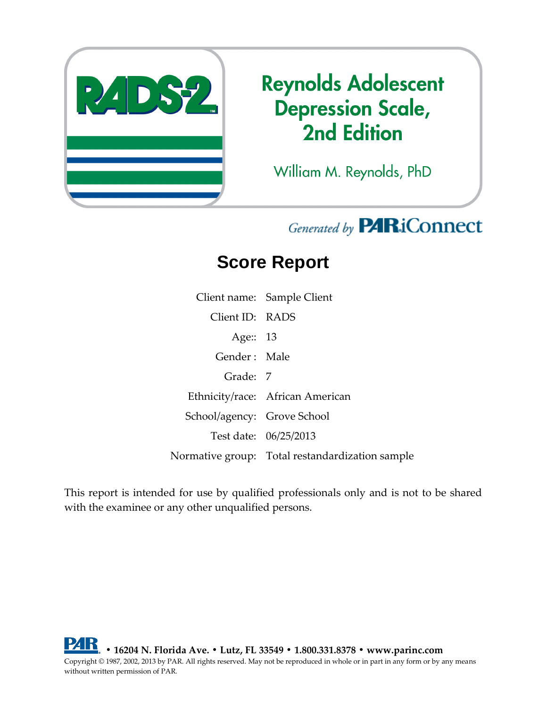

# **Reynolds Adolescent Depression Scale, 2nd Edition**

William M. Reynolds, PhD

## Generated by **PARiConnect**

# **Score Report**

Client name: Sample Client Client ID: RADS Age:: 13 Gender : Male Grade: 7 Ethnicity/race: African American School/agency: Grove School Test date: 06/25/2013 Normative group: Total restandardization sample

This report is intended for use by qualified professionals only and is not to be shared with the examinee or any other unqualified persons.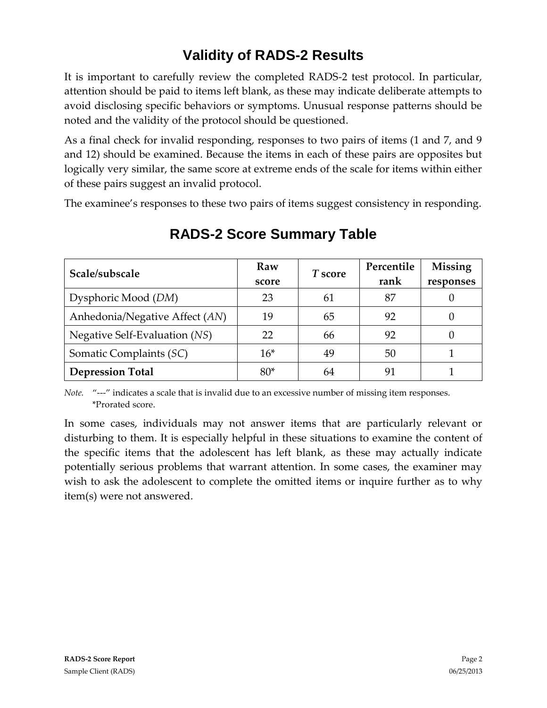## **Validity of RADS-2 Results**

It is important to carefully review the completed RADS-2 test protocol. In particular, attention should be paid to items left blank, as these may indicate deliberate attempts to avoid disclosing specific behaviors or symptoms. Unusual response patterns should be noted and the validity of the protocol should be questioned.

As a final check for invalid responding, responses to two pairs of items (1 and 7, and 9 and 12) should be examined. Because the items in each of these pairs are opposites but logically very similar, the same score at extreme ends of the scale for items within either of these pairs suggest an invalid protocol.

The examinee's responses to these two pairs of items suggest consistency in responding.

| Scale/subscale                 | Raw<br>score | T score | Percentile<br>rank | Missing<br>responses |
|--------------------------------|--------------|---------|--------------------|----------------------|
| Dysphoric Mood (DM)            | 23           | 61      | 87                 |                      |
| Anhedonia/Negative Affect (AN) | 19           | 65      | 92                 |                      |
| Negative Self-Evaluation (NS)  | 22           | 66      | 92                 |                      |
| Somatic Complaints (SC)        | $16*$        | 49      | 50                 |                      |
| <b>Depression Total</b>        | $80*$        | 64      | 91                 |                      |

### **RADS-2 Score Summary Table**

*Note.* "---" indicates a scale that is invalid due to an excessive number of missing item responses. \*Prorated score.

In some cases, individuals may not answer items that are particularly relevant or disturbing to them. It is especially helpful in these situations to examine the content of the specific items that the adolescent has left blank, as these may actually indicate potentially serious problems that warrant attention. In some cases, the examiner may wish to ask the adolescent to complete the omitted items or inquire further as to why item(s) were not answered.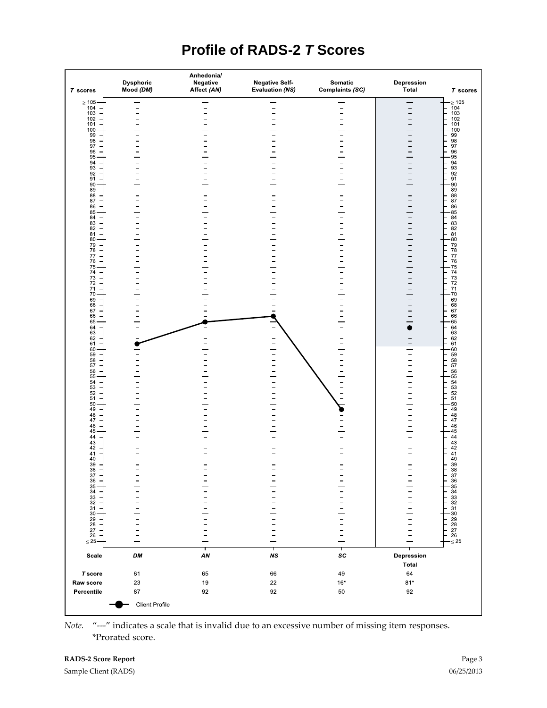### **Profile of RADS-2** *T* **Scores**

| $T$ scores                                  | Dysphoric<br>Mood (DM) | Anhedonia/<br>Negative<br>Affect (AN) | <b>Negative Self-</b><br>Evaluation (NS) | Somatic<br>Complaints (SC) | Depression<br>Total      | $T$ scores                         |
|---------------------------------------------|------------------------|---------------------------------------|------------------------------------------|----------------------------|--------------------------|------------------------------------|
| $\geq 105$                                  |                        |                                       |                                          |                            |                          | $- \geq 105$                       |
| 104                                         |                        |                                       |                                          | -                          | $\overline{\phantom{0}}$ | $\frac{104}{103}$                  |
| 103<br>102                                  |                        |                                       |                                          |                            |                          | 102                                |
| 101                                         |                        |                                       |                                          |                            |                          | 101                                |
| $\frac{100}{99}$                            |                        |                                       |                                          |                            |                          | 100                                |
|                                             |                        |                                       |                                          |                            |                          | $\frac{99}{98}$<br>98              |
| 98<br>97                                    |                        |                                       |                                          |                            |                          |                                    |
| 96<br>95                                    |                        |                                       |                                          |                            |                          | 96                                 |
|                                             |                        |                                       |                                          |                            |                          | 95                                 |
| 94<br>93                                    |                        |                                       |                                          |                            |                          | 94<br>93                           |
| 92                                          |                        |                                       |                                          |                            |                          | 92                                 |
| 91                                          |                        |                                       |                                          |                            |                          | 91                                 |
| 90<br>89                                    |                        |                                       |                                          |                            |                          | 90<br>89                           |
| 88<br>87                                    |                        |                                       |                                          |                            |                          | $\frac{88}{87}$                    |
|                                             |                        |                                       |                                          |                            |                          |                                    |
| 86                                          |                        |                                       |                                          |                            |                          | 86                                 |
| 85<br>84                                    |                        |                                       |                                          |                            |                          | 85<br>84                           |
| 83<br>82                                    |                        |                                       |                                          |                            |                          | 83                                 |
|                                             |                        |                                       |                                          |                            |                          | 82                                 |
| $\begin{array}{c} 81 \\ 80 \end{array}$     |                        |                                       |                                          |                            |                          | 81<br>$-80$                        |
|                                             |                        |                                       |                                          |                            |                          |                                    |
| 79<br>78                                    |                        |                                       |                                          |                            |                          | 79<br>78                           |
| $\frac{77}{76}$                             |                        |                                       |                                          |                            |                          | $\frac{77}{76}$                    |
|                                             |                        |                                       |                                          |                            |                          |                                    |
| $\frac{75}{74}$                             |                        |                                       |                                          |                            |                          | 75<br>74                           |
| 73<br>72                                    |                        |                                       |                                          |                            |                          | $^{73}_{72}$                       |
|                                             |                        |                                       |                                          |                            |                          |                                    |
| $\begin{array}{c} 71 \\ 70 \end{array}$     |                        |                                       |                                          |                            |                          | 71<br>70                           |
| 69                                          |                        |                                       |                                          |                            |                          | 69                                 |
| 68                                          |                        |                                       |                                          |                            |                          | 68                                 |
| $\frac{67}{66}$                             |                        |                                       |                                          |                            |                          | 67                                 |
| 65                                          |                        |                                       |                                          |                            |                          | 66<br>$-65$                        |
|                                             |                        |                                       |                                          |                            |                          | 64                                 |
| $64 \over 63$                               |                        |                                       |                                          |                            |                          | 63                                 |
| 62                                          |                        |                                       | -                                        |                            |                          | 62                                 |
| 61<br>60                                    |                        |                                       |                                          |                            |                          | 61<br>60                           |
| 59                                          |                        |                                       |                                          |                            |                          | 59                                 |
| 58<br>57                                    |                        |                                       |                                          |                            |                          | 58<br>57                           |
|                                             |                        |                                       |                                          |                            |                          |                                    |
| $\frac{56}{55}$                             |                        |                                       |                                          |                            |                          | $\frac{56}{55}$                    |
|                                             |                        |                                       |                                          |                            |                          |                                    |
| $\begin{array}{c} 54 \\ 53 \end{array}$     |                        |                                       |                                          |                            |                          |                                    |
| 52<br>51                                    |                        |                                       |                                          | $\frac{1}{1}$              |                          | $\frac{54}{53}$<br>$\frac{52}{51}$ |
| 50                                          |                        |                                       |                                          |                            |                          | 50                                 |
| 49                                          |                        |                                       |                                          |                            |                          | 49                                 |
| 48                                          |                        |                                       |                                          |                            |                          | 48                                 |
| 47                                          |                        |                                       |                                          |                            |                          | 47                                 |
| 46<br>45                                    |                        |                                       |                                          |                            |                          | 46<br>45                           |
| 44                                          |                        |                                       |                                          |                            |                          | 44                                 |
| $\substack{43 \\ 42}$                       |                        |                                       |                                          |                            |                          | $^{43}_{42}$                       |
|                                             |                        |                                       |                                          |                            |                          |                                    |
| $\frac{41}{40}$                             |                        |                                       |                                          |                            |                          | 41<br>40                           |
| $\frac{39}{38}$                             |                        |                                       |                                          |                            |                          | $\frac{39}{38}$                    |
|                                             |                        |                                       |                                          |                            |                          |                                    |
| $\substack{37\\36}$                         |                        | -                                     | $\equiv$                                 | $\bar{z}$                  | $\bar{z}$                |                                    |
|                                             |                        |                                       |                                          |                            |                          | $\frac{37}{36}$<br>$\frac{35}{34}$ |
| 35<br>34<br>33<br>31<br>30<br>29<br>27<br>6 |                        |                                       |                                          |                            |                          |                                    |
|                                             |                        |                                       |                                          |                            |                          | $\frac{33}{32}$                    |
|                                             |                        |                                       |                                          | $\frac{1}{1}$              |                          |                                    |
|                                             |                        |                                       |                                          |                            |                          | $\frac{31}{30}$                    |
|                                             |                        |                                       |                                          |                            |                          | $\substack{29 \\ 28}$              |
|                                             |                        |                                       |                                          |                            |                          |                                    |
|                                             |                        |                                       |                                          | -                          |                          | $\substack{27 \\ 26}$              |
| $\leq$ 25                                   |                        |                                       |                                          |                            |                          | $\leq 25$                          |
|                                             |                        |                                       |                                          |                            |                          |                                    |
| Scale                                       | DM                     | т<br>${\it AN}$                       | т<br>$\boldsymbol{\mathit{NS}}$          | т<br>SC                    | Depression<br>Total      |                                    |
|                                             |                        |                                       |                                          |                            |                          |                                    |
| <b>T</b> score                              | 61                     | 65                                    | 66                                       | 49                         | 64                       |                                    |
|                                             |                        | 19                                    | 22                                       | $16*$                      | $81*$                    |                                    |
|                                             |                        |                                       |                                          |                            |                          |                                    |
| Raw score<br>Percentile                     | $23\,$<br>87           | 92                                    | 92                                       | $50\,$                     | 92                       |                                    |

*Note.* "---" indicates a scale that is invalid due to an excessive number of missing item responses. \*Prorated score.